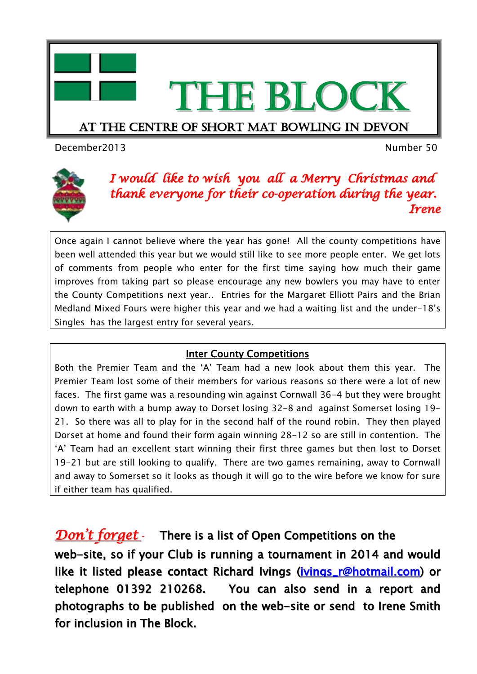

# THE BLOCK

#### At the centre of short mat bowling in devon

December2013 Number 50



#### *I would like to wish you all a Merry Christmas and thank everyone for their co-operation during the year. Irene*

Once again I cannot believe where the year has gone! All the county competitions have been well attended this year but we would still like to see more people enter. We get lots of comments from people who enter for the first time saying how much their game improves from taking part so please encourage any new bowlers you may have to enter the County Competitions next year.. Entries for the Margaret Elliott Pairs and the Brian Medland Mixed Fours were higher this year and we had a waiting list and the under-18's Singles has the largest entry for several years.

#### **Inter County Competitions**

Both the Premier Team and the 'A' Team had a new look about them this year. The Premier Team lost some of their members for various reasons so there were a lot of new faces. The first game was a resounding win against Cornwall 36-4 but they were brought down to earth with a bump away to Dorset losing 32-8 and against Somerset losing 19- 21. So there was all to play for in the second half of the round robin. They then played Dorset at home and found their form again winning 28-12 so are still in contention. The 'A' Team had an excellent start winning their first three games but then lost to Dorset 19-21 but are still looking to qualify. There are two games remaining, away to Cornwall and away to Somerset so it looks as though it will go to the wire before we know for sure if either team has qualified.

### *Don 't forget -* There is a list of Open Competitions on the

web-site, so if your Club is running a tournament in 2014 and would like it listed please contact Richard Ivings [\(ivings\\_r@hotmail.com\)](mailto:ivings_r@hotmail.com) or telephone 01392 210268. You can also send in a report and photographs to be published on the web-site or send to Irene Smith for inclusion in The Block.